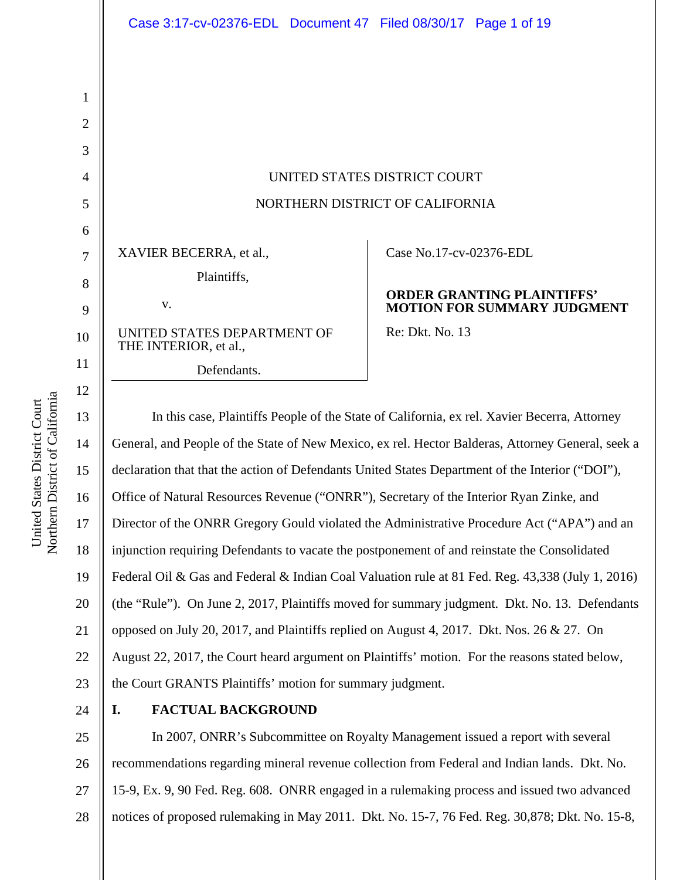# UNITED STATES DISTRICT COURT NORTHERN DISTRICT OF CALIFORNIA

XAVIER BECERRA, et al., Plaintiffs, v.

UNITED STATES DEPARTMENT OF THE INTERIOR, et al., Defendants.

Case No.17-cv-02376-EDL

#### **ORDER GRANTING PLAINTIFFS' MOTION FOR SUMMARY JUDGMENT**

Re: Dkt. No. 13

In this case, Plaintiffs People of the State of California, ex rel. Xavier Becerra, Attorney General, and People of the State of New Mexico, ex rel. Hector Balderas, Attorney General, seek a declaration that that the action of Defendants United States Department of the Interior ("DOI"), Office of Natural Resources Revenue ("ONRR"), Secretary of the Interior Ryan Zinke, and Director of the ONRR Gregory Gould violated the Administrative Procedure Act ("APA") and an injunction requiring Defendants to vacate the postponement of and reinstate the Consolidated Federal Oil & Gas and Federal & Indian Coal Valuation rule at 81 Fed. Reg. 43,338 (July 1, 2016) (the "Rule"). On June 2, 2017, Plaintiffs moved for summary judgment. Dkt. No. 13. Defendants opposed on July 20, 2017, and Plaintiffs replied on August 4, 2017. Dkt. Nos. 26 & 27. On August 22, 2017, the Court heard argument on Plaintiffs' motion. For the reasons stated below, the Court GRANTS Plaintiffs' motion for summary judgment.

24

## **I. FACTUAL BACKGROUND**

25 26 27 28 In 2007, ONRR's Subcommittee on Royalty Management issued a report with several recommendations regarding mineral revenue collection from Federal and Indian lands. Dkt. No. 15-9, Ex. 9, 90 Fed. Reg. 608. ONRR engaged in a rulemaking process and issued two advanced notices of proposed rulemaking in May 2011. Dkt. No. 15-7, 76 Fed. Reg. 30,878; Dkt. No. 15-8,

a United States District Court United States District Court Northern District of Californi

1

2

3

4

5

6

7

8

9

10

11

12

13

14

15

16

17

18

19

20

21

22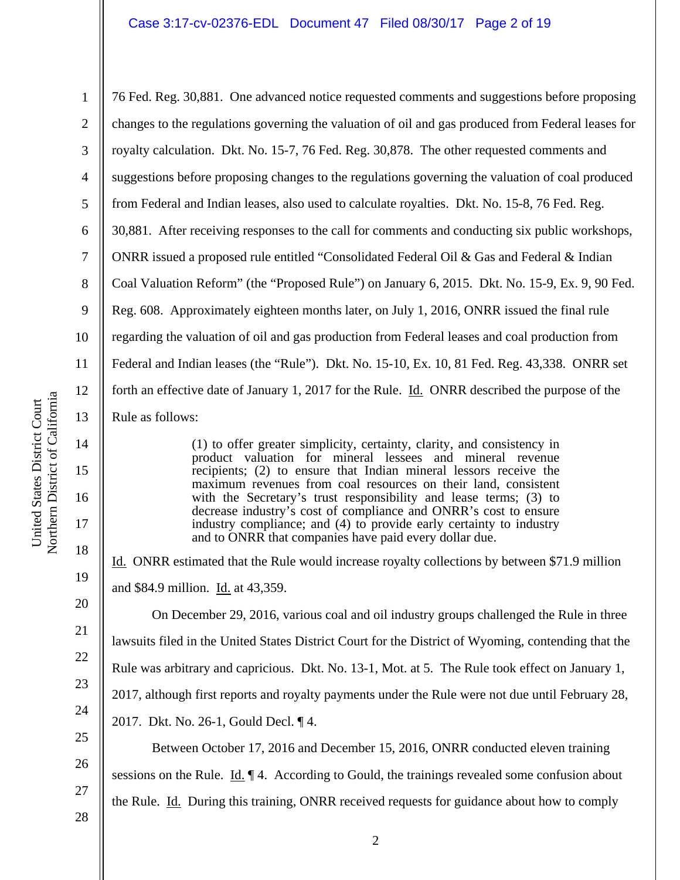#### Case 3:17-cv-02376-EDL Document 47 Filed 08/30/17 Page 2 of 19

14

15

16

17

18

19

20

21

22

23

24

25

26

27

1 2 3 4 5 6 7 8 9 10 11 12 13 76 Fed. Reg. 30,881. One advanced notice requested comments and suggestions before proposing changes to the regulations governing the valuation of oil and gas produced from Federal leases for royalty calculation. Dkt. No. 15-7, 76 Fed. Reg. 30,878. The other requested comments and suggestions before proposing changes to the regulations governing the valuation of coal produced from Federal and Indian leases, also used to calculate royalties. Dkt. No. 15-8, 76 Fed. Reg. 30,881. After receiving responses to the call for comments and conducting six public workshops, ONRR issued a proposed rule entitled "Consolidated Federal Oil & Gas and Federal & Indian Coal Valuation Reform" (the "Proposed Rule") on January 6, 2015. Dkt. No. 15-9, Ex. 9, 90 Fed. Reg. 608. Approximately eighteen months later, on July 1, 2016, ONRR issued the final rule regarding the valuation of oil and gas production from Federal leases and coal production from Federal and Indian leases (the "Rule"). Dkt. No. 15-10, Ex. 10, 81 Fed. Reg. 43,338. ONRR set forth an effective date of January 1, 2017 for the Rule. Id. ONRR described the purpose of the Rule as follows:

> (1) to offer greater simplicity, certainty, clarity, and consistency in product valuation for mineral lessees and mineral revenue recipients; (2) to ensure that Indian mineral lessors receive the maximum revenues from coal resources on their land, consistent with the Secretary's trust responsibility and lease terms; (3) to decrease industry's cost of compliance and ONRR's cost to ensure industry compliance; and (4) to provide early certainty to industry and to ONRR that companies have paid every dollar due.

Id. ONRR estimated that the Rule would increase royalty collections by between \$71.9 million and \$84.9 million. Id. at 43,359.

 On December 29, 2016, various coal and oil industry groups challenged the Rule in three lawsuits filed in the United States District Court for the District of Wyoming, contending that the Rule was arbitrary and capricious. Dkt. No. 13-1, Mot. at 5. The Rule took effect on January 1, 2017, although first reports and royalty payments under the Rule were not due until February 28, 2017. Dkt. No. 26-1, Gould Decl. ¶ 4. Between October 17, 2016 and December 15, 2016, ONRR conducted eleven training

sessions on the Rule. <u>Id.</u>  $\P$  4. According to Gould, the trainings revealed some confusion about

the Rule. Id. During this training, ONRR received requests for guidance about how to comply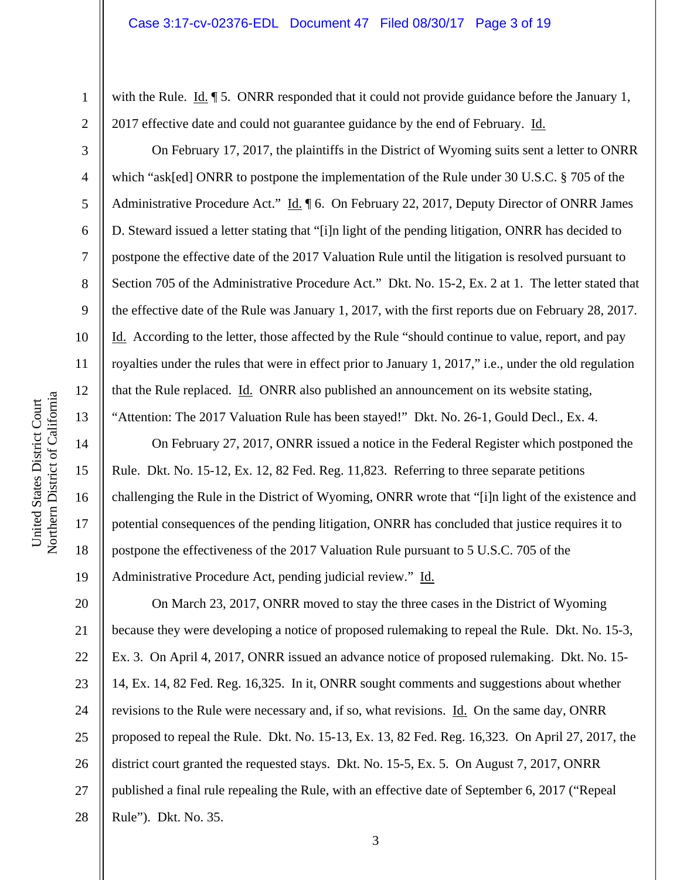1

2

3

4

5

6

7

8

9

10

11

12

13

14

15

16

17

18

19

with the Rule. Id.  $\parallel$  5. ONRR responded that it could not provide guidance before the January 1, 2017 effective date and could not guarantee guidance by the end of February. Id.

 On February 17, 2017, the plaintiffs in the District of Wyoming suits sent a letter to ONRR which "ask[ed] ONRR to postpone the implementation of the Rule under 30 U.S.C. § 705 of the Administrative Procedure Act." Id. ¶ 6. On February 22, 2017, Deputy Director of ONRR James D. Steward issued a letter stating that "[i]n light of the pending litigation, ONRR has decided to postpone the effective date of the 2017 Valuation Rule until the litigation is resolved pursuant to Section 705 of the Administrative Procedure Act." Dkt. No. 15-2, Ex. 2 at 1. The letter stated that the effective date of the Rule was January 1, 2017, with the first reports due on February 28, 2017. Id. According to the letter, those affected by the Rule "should continue to value, report, and pay royalties under the rules that were in effect prior to January 1, 2017," i.e., under the old regulation that the Rule replaced. Id. ONRR also published an announcement on its website stating, "Attention: The 2017 Valuation Rule has been stayed!" Dkt. No. 26-1, Gould Decl., Ex. 4.

 On February 27, 2017, ONRR issued a notice in the Federal Register which postponed the Rule. Dkt. No. 15-12, Ex. 12, 82 Fed. Reg. 11,823. Referring to three separate petitions challenging the Rule in the District of Wyoming, ONRR wrote that "[i]n light of the existence and potential consequences of the pending litigation, ONRR has concluded that justice requires it to postpone the effectiveness of the 2017 Valuation Rule pursuant to 5 U.S.C. 705 of the Administrative Procedure Act, pending judicial review." Id.

20 21 22 23 24 25 26 27 28 On March 23, 2017, ONRR moved to stay the three cases in the District of Wyoming because they were developing a notice of proposed rulemaking to repeal the Rule. Dkt. No. 15-3, Ex. 3. On April 4, 2017, ONRR issued an advance notice of proposed rulemaking. Dkt. No. 15- 14, Ex. 14, 82 Fed. Reg. 16,325. In it, ONRR sought comments and suggestions about whether revisions to the Rule were necessary and, if so, what revisions. Id. On the same day, ONRR proposed to repeal the Rule. Dkt. No. 15-13, Ex. 13, 82 Fed. Reg. 16,323. On April 27, 2017, the district court granted the requested stays. Dkt. No. 15-5, Ex. 5. On August 7, 2017, ONRR published a final rule repealing the Rule, with an effective date of September 6, 2017 ("Repeal Rule"). Dkt. No. 35.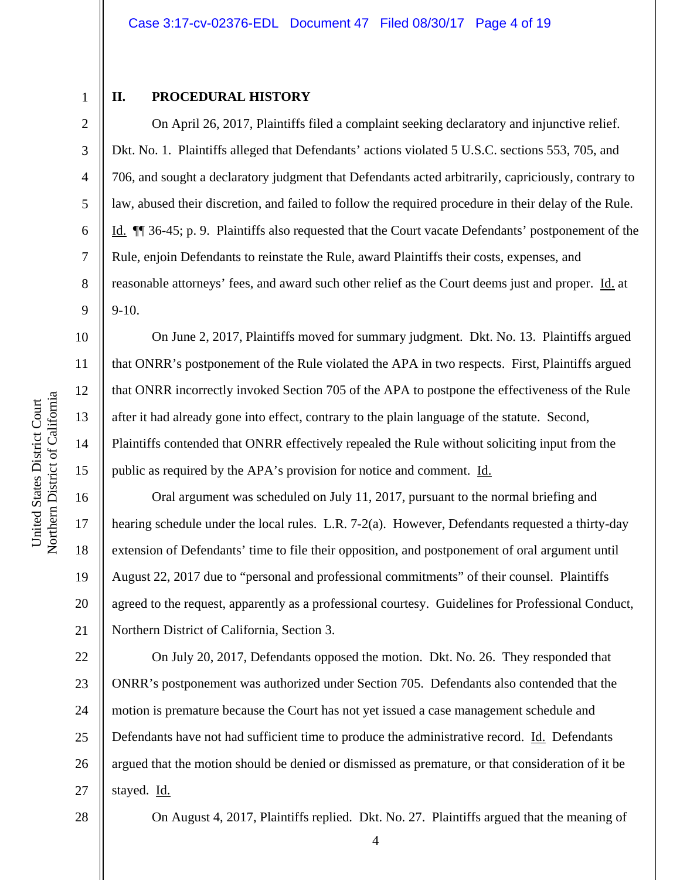1 2

3

4

5

6

7

8

9

10

11

12

13

14

15

16

17

18

19

20

21

#### **II. PROCEDURAL HISTORY**

 On April 26, 2017, Plaintiffs filed a complaint seeking declaratory and injunctive relief. Dkt. No. 1. Plaintiffs alleged that Defendants' actions violated 5 U.S.C. sections 553, 705, and 706, and sought a declaratory judgment that Defendants acted arbitrarily, capriciously, contrary to law, abused their discretion, and failed to follow the required procedure in their delay of the Rule. Id. ¶¶ 36-45; p. 9. Plaintiffs also requested that the Court vacate Defendants' postponement of the Rule, enjoin Defendants to reinstate the Rule, award Plaintiffs their costs, expenses, and reasonable attorneys' fees, and award such other relief as the Court deems just and proper. Id. at 9-10.

 On June 2, 2017, Plaintiffs moved for summary judgment. Dkt. No. 13. Plaintiffs argued that ONRR's postponement of the Rule violated the APA in two respects. First, Plaintiffs argued that ONRR incorrectly invoked Section 705 of the APA to postpone the effectiveness of the Rule after it had already gone into effect, contrary to the plain language of the statute. Second, Plaintiffs contended that ONRR effectively repealed the Rule without soliciting input from the public as required by the APA's provision for notice and comment. Id.

 Oral argument was scheduled on July 11, 2017, pursuant to the normal briefing and hearing schedule under the local rules. L.R. 7-2(a). However, Defendants requested a thirty-day extension of Defendants' time to file their opposition, and postponement of oral argument until August 22, 2017 due to "personal and professional commitments" of their counsel. Plaintiffs agreed to the request, apparently as a professional courtesy. Guidelines for Professional Conduct, Northern District of California, Section 3.

22 23 24 25 26 27 On July 20, 2017, Defendants opposed the motion. Dkt. No. 26. They responded that ONRR's postponement was authorized under Section 705. Defendants also contended that the motion is premature because the Court has not yet issued a case management schedule and Defendants have not had sufficient time to produce the administrative record. Id. Defendants argued that the motion should be denied or dismissed as premature, or that consideration of it be stayed. Id.

28

On August 4, 2017, Plaintiffs replied. Dkt. No. 27. Plaintiffs argued that the meaning of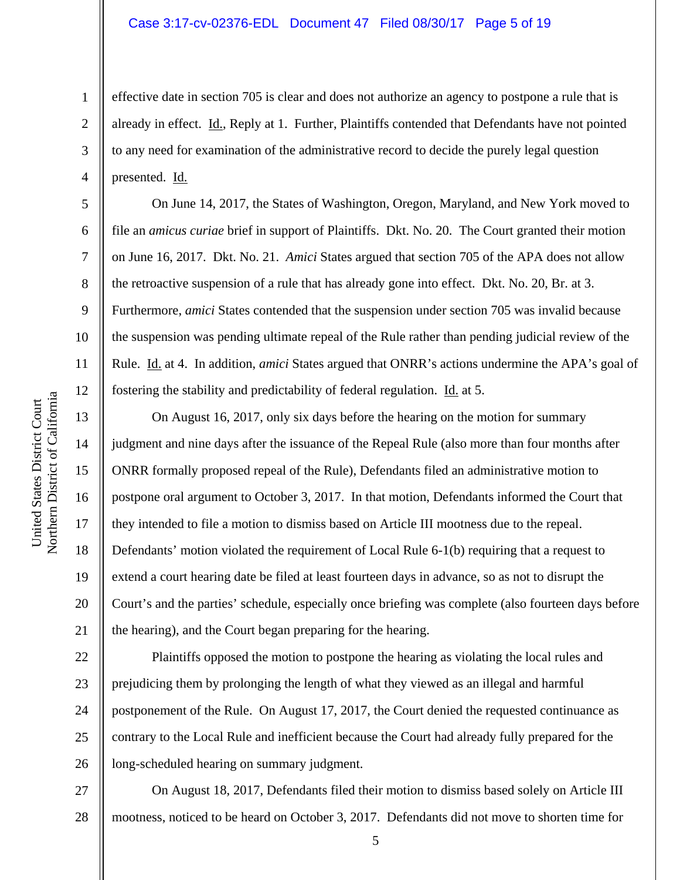#### Case 3:17-cv-02376-EDL Document 47 Filed 08/30/17 Page 5 of 19

effective date in section 705 is clear and does not authorize an agency to postpone a rule that is already in effect. Id., Reply at 1. Further, Plaintiffs contended that Defendants have not pointed to any need for examination of the administrative record to decide the purely legal question presented. Id.

 On June 14, 2017, the States of Washington, Oregon, Maryland, and New York moved to file an *amicus curiae* brief in support of Plaintiffs. Dkt. No. 20. The Court granted their motion on June 16, 2017. Dkt. No. 21. *Amici* States argued that section 705 of the APA does not allow the retroactive suspension of a rule that has already gone into effect. Dkt. No. 20, Br. at 3. Furthermore, *amici* States contended that the suspension under section 705 was invalid because the suspension was pending ultimate repeal of the Rule rather than pending judicial review of the Rule. Id. at 4. In addition, *amici* States argued that ONRR's actions undermine the APA's goal of fostering the stability and predictability of federal regulation. Id. at 5.

 On August 16, 2017, only six days before the hearing on the motion for summary judgment and nine days after the issuance of the Repeal Rule (also more than four months after ONRR formally proposed repeal of the Rule), Defendants filed an administrative motion to postpone oral argument to October 3, 2017. In that motion, Defendants informed the Court that they intended to file a motion to dismiss based on Article III mootness due to the repeal. Defendants' motion violated the requirement of Local Rule 6-1(b) requiring that a request to extend a court hearing date be filed at least fourteen days in advance, so as not to disrupt the Court's and the parties' schedule, especially once briefing was complete (also fourteen days before the hearing), and the Court began preparing for the hearing.

22 23 24 25 26 Plaintiffs opposed the motion to postpone the hearing as violating the local rules and prejudicing them by prolonging the length of what they viewed as an illegal and harmful postponement of the Rule. On August 17, 2017, the Court denied the requested continuance as contrary to the Local Rule and inefficient because the Court had already fully prepared for the long-scheduled hearing on summary judgment.

27 28 On August 18, 2017, Defendants filed their motion to dismiss based solely on Article III mootness, noticed to be heard on October 3, 2017. Defendants did not move to shorten time for

1

2

3

4

5

6

7

8

9

10

11

12

13

14

15

16

17

18

19

20

21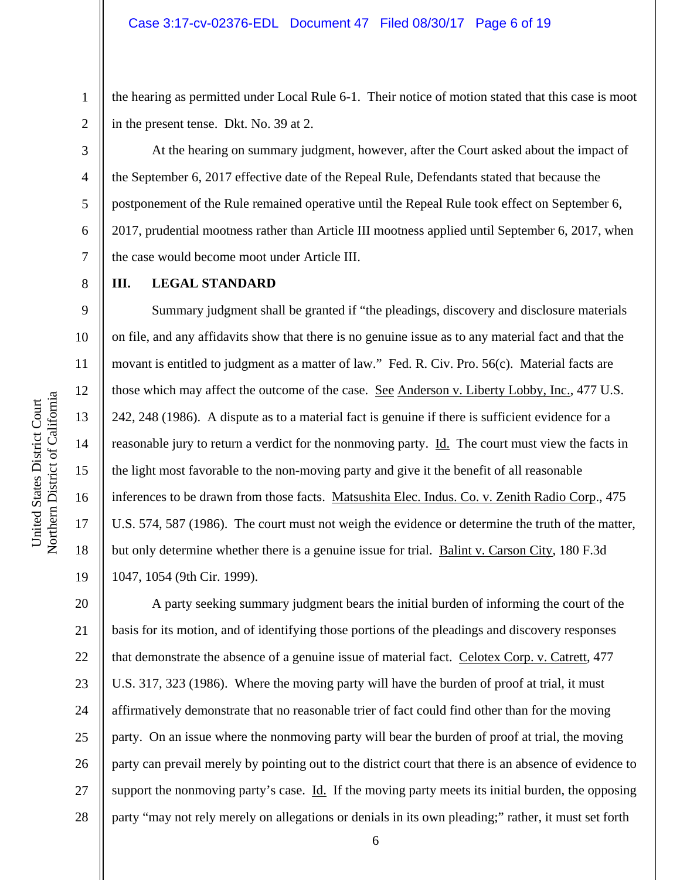the hearing as permitted under Local Rule 6-1. Their notice of motion stated that this case is moot in the present tense. Dkt. No. 39 at 2.

 At the hearing on summary judgment, however, after the Court asked about the impact of the September 6, 2017 effective date of the Repeal Rule, Defendants stated that because the postponement of the Rule remained operative until the Repeal Rule took effect on September 6, 2017, prudential mootness rather than Article III mootness applied until September 6, 2017, when the case would become moot under Article III.

1

2

3

4

5

6

7

8

9

10

11

12

13

14

15

16

17

18

19

#### **III. LEGAL STANDARD**

Summary judgment shall be granted if "the pleadings, discovery and disclosure materials on file, and any affidavits show that there is no genuine issue as to any material fact and that the movant is entitled to judgment as a matter of law." Fed. R. Civ. Pro. 56(c). Material facts are those which may affect the outcome of the case. See Anderson v. Liberty Lobby, Inc., 477 U.S. 242, 248 (1986). A dispute as to a material fact is genuine if there is sufficient evidence for a reasonable jury to return a verdict for the nonmoving party. Id. The court must view the facts in the light most favorable to the non-moving party and give it the benefit of all reasonable inferences to be drawn from those facts. Matsushita Elec. Indus. Co. v. Zenith Radio Corp., 475 U.S. 574, 587 (1986). The court must not weigh the evidence or determine the truth of the matter, but only determine whether there is a genuine issue for trial. Balint v. Carson City, 180 F.3d 1047, 1054 (9th Cir. 1999).

20 21 22 23 24 25 26 27 28 A party seeking summary judgment bears the initial burden of informing the court of the basis for its motion, and of identifying those portions of the pleadings and discovery responses that demonstrate the absence of a genuine issue of material fact. Celotex Corp. v. Catrett, 477 U.S. 317, 323 (1986). Where the moving party will have the burden of proof at trial, it must affirmatively demonstrate that no reasonable trier of fact could find other than for the moving party. On an issue where the nonmoving party will bear the burden of proof at trial, the moving party can prevail merely by pointing out to the district court that there is an absence of evidence to support the nonmoving party's case. Id. If the moving party meets its initial burden, the opposing party "may not rely merely on allegations or denials in its own pleading;" rather, it must set forth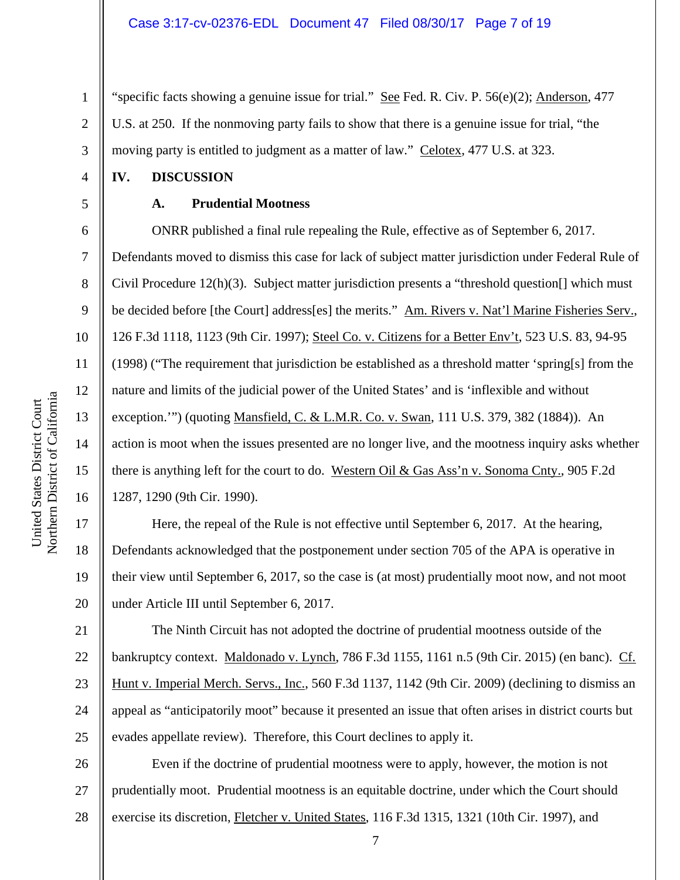"specific facts showing a genuine issue for trial." See Fed. R. Civ. P. 56(e)(2); Anderson, 477 U.S. at 250. If the nonmoving party fails to show that there is a genuine issue for trial, "the moving party is entitled to judgment as a matter of law." Celotex, 477 U.S. at 323.

#### **IV. DISCUSSION**

1

2

3

4

5

6

7

8

9

10

11

12

13

14

15

16

17

18

19

20

21

23

24

25

#### **A. Prudential Mootness**

ONRR published a final rule repealing the Rule, effective as of September 6, 2017. Defendants moved to dismiss this case for lack of subject matter jurisdiction under Federal Rule of Civil Procedure  $12(h)(3)$ . Subject matter jurisdiction presents a "threshold question  $\lceil \rceil$  which must be decided before [the Court] address[es] the merits." Am. Rivers v. Nat'l Marine Fisheries Serv., 126 F.3d 1118, 1123 (9th Cir. 1997); Steel Co. v. Citizens for a Better Env't, 523 U.S. 83, 94-95 (1998) ("The requirement that jurisdiction be established as a threshold matter 'spring[s] from the nature and limits of the judicial power of the United States' and is 'inflexible and without exception.'") (quoting Mansfield, C. & L.M.R. Co. v. Swan, 111 U.S. 379, 382 (1884)). An action is moot when the issues presented are no longer live, and the mootness inquiry asks whether there is anything left for the court to do. Western Oil & Gas Ass'n v. Sonoma Cnty., 905 F.2d 1287, 1290 (9th Cir. 1990).

 Here, the repeal of the Rule is not effective until September 6, 2017. At the hearing, Defendants acknowledged that the postponement under section 705 of the APA is operative in their view until September 6, 2017, so the case is (at most) prudentially moot now, and not moot under Article III until September 6, 2017.

22 The Ninth Circuit has not adopted the doctrine of prudential mootness outside of the bankruptcy context. Maldonado v. Lynch, 786 F.3d 1155, 1161 n.5 (9th Cir. 2015) (en banc). Cf. Hunt v. Imperial Merch. Servs., Inc., 560 F.3d 1137, 1142 (9th Cir. 2009) (declining to dismiss an appeal as "anticipatorily moot" because it presented an issue that often arises in district courts but evades appellate review). Therefore, this Court declines to apply it.

26 27 28 Even if the doctrine of prudential mootness were to apply, however, the motion is not prudentially moot. Prudential mootness is an equitable doctrine, under which the Court should exercise its discretion, Fletcher v. United States, 116 F.3d 1315, 1321 (10th Cir. 1997), and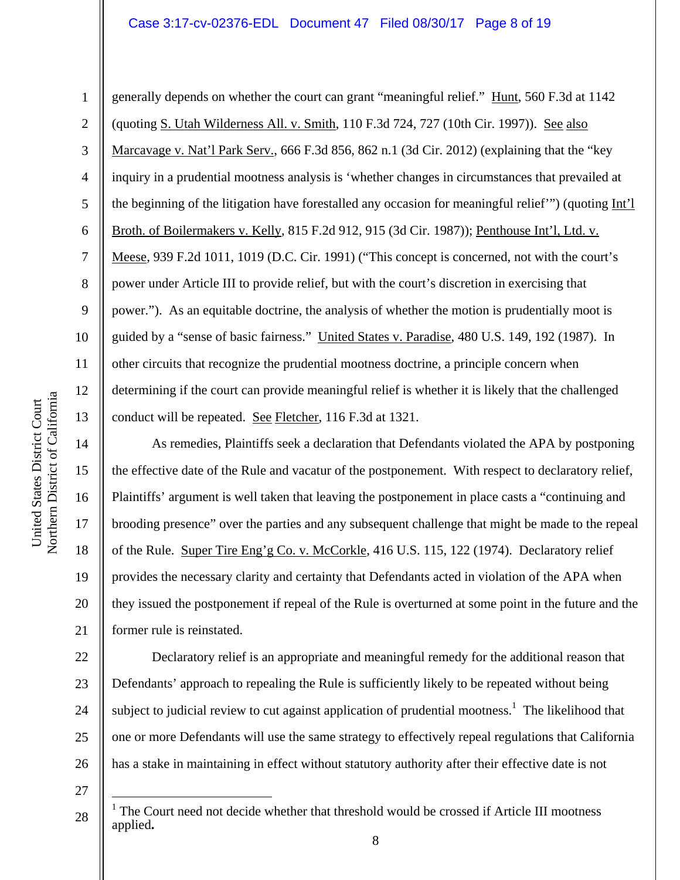#### Case 3:17-cv-02376-EDL Document 47 Filed 08/30/17 Page 8 of 19

10 11

1

2

3

4

5

6

7

8

9

12

13

14

15

16

17

18

19

20

21

generally depends on whether the court can grant "meaningful relief." Hunt, 560 F.3d at 1142 (quoting S. Utah Wilderness All. v. Smith, 110 F.3d 724, 727 (10th Cir. 1997)). See also Marcavage v. Nat'l Park Serv., 666 F.3d 856, 862 n.1 (3d Cir. 2012) (explaining that the "key inquiry in a prudential mootness analysis is 'whether changes in circumstances that prevailed at the beginning of the litigation have forestalled any occasion for meaningful relief'") (quoting Int'l Broth. of Boilermakers v. Kelly, 815 F.2d 912, 915 (3d Cir. 1987)); Penthouse Int'l, Ltd. v. Meese, 939 F.2d 1011, 1019 (D.C. Cir. 1991) ("This concept is concerned, not with the court's power under Article III to provide relief, but with the court's discretion in exercising that power."). As an equitable doctrine, the analysis of whether the motion is prudentially moot is guided by a "sense of basic fairness." United States v. Paradise, 480 U.S. 149, 192 (1987). In other circuits that recognize the prudential mootness doctrine, a principle concern when determining if the court can provide meaningful relief is whether it is likely that the challenged conduct will be repeated. See Fletcher, 116 F.3d at 1321.

As remedies, Plaintiffs seek a declaration that Defendants violated the APA by postponing the effective date of the Rule and vacatur of the postponement. With respect to declaratory relief, Plaintiffs' argument is well taken that leaving the postponement in place casts a "continuing and brooding presence" over the parties and any subsequent challenge that might be made to the repeal of the Rule. Super Tire Eng'g Co. v. McCorkle, 416 U.S. 115, 122 (1974). Declaratory relief provides the necessary clarity and certainty that Defendants acted in violation of the APA when they issued the postponement if repeal of the Rule is overturned at some point in the future and the former rule is reinstated.

22 23 24 25 26 Declaratory relief is an appropriate and meaningful remedy for the additional reason that Defendants' approach to repealing the Rule is sufficiently likely to be repeated without being subject to judicial review to cut against application of prudential mootness.<sup>1</sup> The likelihood that one or more Defendants will use the same strategy to effectively repeal regulations that California has a stake in maintaining in effect without statutory authority after their effective date is not

27

 $\overline{a}$ 

a

<sup>28</sup>  <sup>1</sup> The Court need not decide whether that threshold would be crossed if Article III mootness applied**.**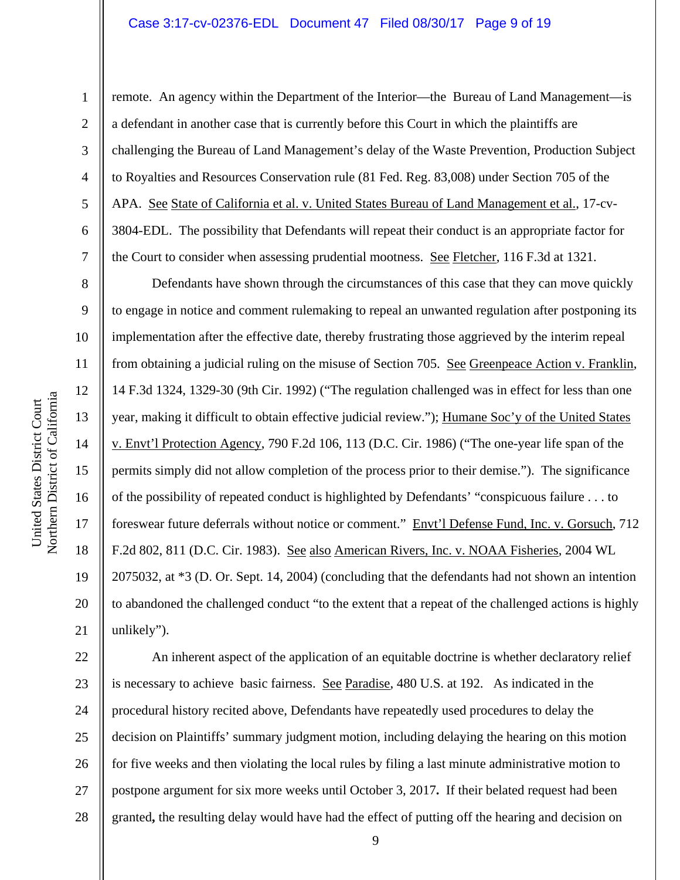#### Case 3:17-cv-02376-EDL Document 47 Filed 08/30/17 Page 9 of 19

Northern District of Californi a 1

8

9

10

11

12

13

14

15

16

17

18

19

20

21

2 3 4 5 6 7 remote. An agency within the Department of the Interior—the Bureau of Land Management—is a defendant in another case that is currently before this Court in which the plaintiffs are challenging the Bureau of Land Management's delay of the Waste Prevention, Production Subject to Royalties and Resources Conservation rule (81 Fed. Reg. 83,008) under Section 705 of the APA. See State of California et al. v. United States Bureau of Land Management et al., 17-cv-3804-EDL. The possibility that Defendants will repeat their conduct is an appropriate factor for the Court to consider when assessing prudential mootness. See Fletcher, 116 F.3d at 1321.

Defendants have shown through the circumstances of this case that they can move quickly to engage in notice and comment rulemaking to repeal an unwanted regulation after postponing its implementation after the effective date, thereby frustrating those aggrieved by the interim repeal from obtaining a judicial ruling on the misuse of Section 705. See Greenpeace Action v. Franklin, 14 F.3d 1324, 1329-30 (9th Cir. 1992) ("The regulation challenged was in effect for less than one year, making it difficult to obtain effective judicial review."); Humane Soc'y of the United States v. Envt'l Protection Agency, 790 F.2d 106, 113 (D.C. Cir. 1986) ("The one-year life span of the permits simply did not allow completion of the process prior to their demise."). The significance of the possibility of repeated conduct is highlighted by Defendants' "conspicuous failure . . . to foreswear future deferrals without notice or comment." Envt'l Defense Fund, Inc. v. Gorsuch, 712 F.2d 802, 811 (D.C. Cir. 1983). See also American Rivers, Inc. v. NOAA Fisheries, 2004 WL 2075032, at \*3 (D. Or. Sept. 14, 2004) (concluding that the defendants had not shown an intention to abandoned the challenged conduct "to the extent that a repeat of the challenged actions is highly unlikely").

22 23 24 25 26 27 28 An inherent aspect of the application of an equitable doctrine is whether declaratory relief is necessary to achieve basic fairness. See Paradise, 480 U.S. at 192. As indicated in the procedural history recited above, Defendants have repeatedly used procedures to delay the decision on Plaintiffs' summary judgment motion, including delaying the hearing on this motion for five weeks and then violating the local rules by filing a last minute administrative motion to postpone argument for six more weeks until October 3, 2017**.** If their belated request had been granted**,** the resulting delay would have had the effect of putting off the hearing and decision on

United States District Court United States District Court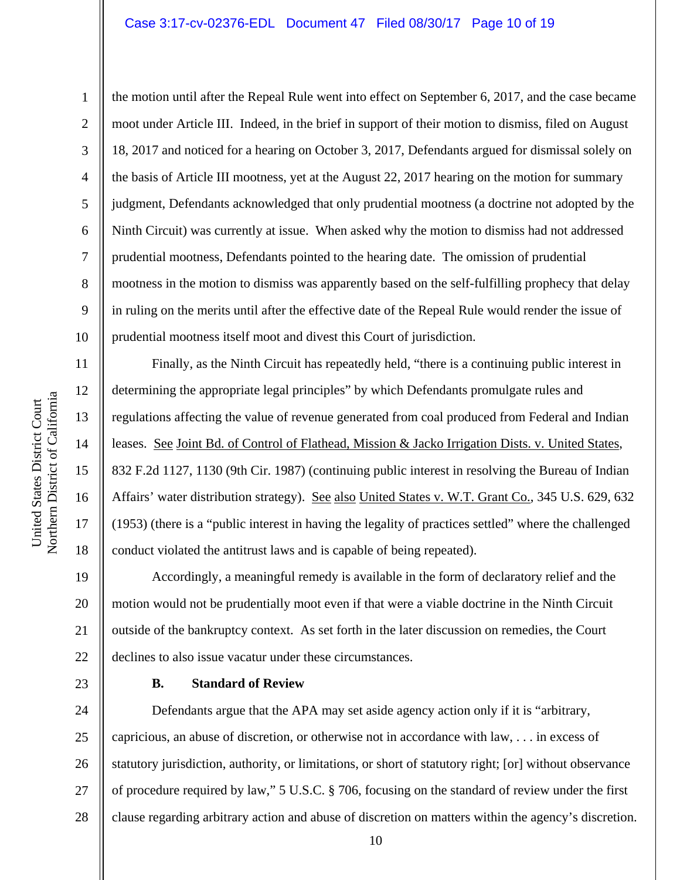#### Case 3:17-cv-02376-EDL Document 47 Filed 08/30/17 Page 10 of 19

10 11 12 13 14 Northern District of Californi a

1

2

3

4

5

6

7

8

9

15

United States District Court

United States District Court

16

17

18

19

the motion until after the Repeal Rule went into effect on September 6, 2017, and the case became moot under Article III. Indeed, in the brief in support of their motion to dismiss, filed on August 18, 2017 and noticed for a hearing on October 3, 2017, Defendants argued for dismissal solely on the basis of Article III mootness, yet at the August 22, 2017 hearing on the motion for summary judgment, Defendants acknowledged that only prudential mootness (a doctrine not adopted by the Ninth Circuit) was currently at issue. When asked why the motion to dismiss had not addressed prudential mootness, Defendants pointed to the hearing date. The omission of prudential mootness in the motion to dismiss was apparently based on the self-fulfilling prophecy that delay in ruling on the merits until after the effective date of the Repeal Rule would render the issue of prudential mootness itself moot and divest this Court of jurisdiction.

Finally, as the Ninth Circuit has repeatedly held, "there is a continuing public interest in determining the appropriate legal principles" by which Defendants promulgate rules and regulations affecting the value of revenue generated from coal produced from Federal and Indian leases. See Joint Bd. of Control of Flathead, Mission & Jacko Irrigation Dists. v. United States, 832 F.2d 1127, 1130 (9th Cir. 1987) (continuing public interest in resolving the Bureau of Indian Affairs' water distribution strategy). See also United States v. W.T. Grant Co., 345 U.S. 629, 632 (1953) (there is a "public interest in having the legality of practices settled" where the challenged conduct violated the antitrust laws and is capable of being repeated).

20 21 22 Accordingly, a meaningful remedy is available in the form of declaratory relief and the motion would not be prudentially moot even if that were a viable doctrine in the Ninth Circuit outside of the bankruptcy context. As set forth in the later discussion on remedies, the Court declines to also issue vacatur under these circumstances.

23

#### **B. Standard of Review**

24 25 26 27 28 Defendants argue that the APA may set aside agency action only if it is "arbitrary, capricious, an abuse of discretion, or otherwise not in accordance with law, . . . in excess of statutory jurisdiction, authority, or limitations, or short of statutory right; [or] without observance of procedure required by law," 5 U.S.C. § 706, focusing on the standard of review under the first clause regarding arbitrary action and abuse of discretion on matters within the agency's discretion.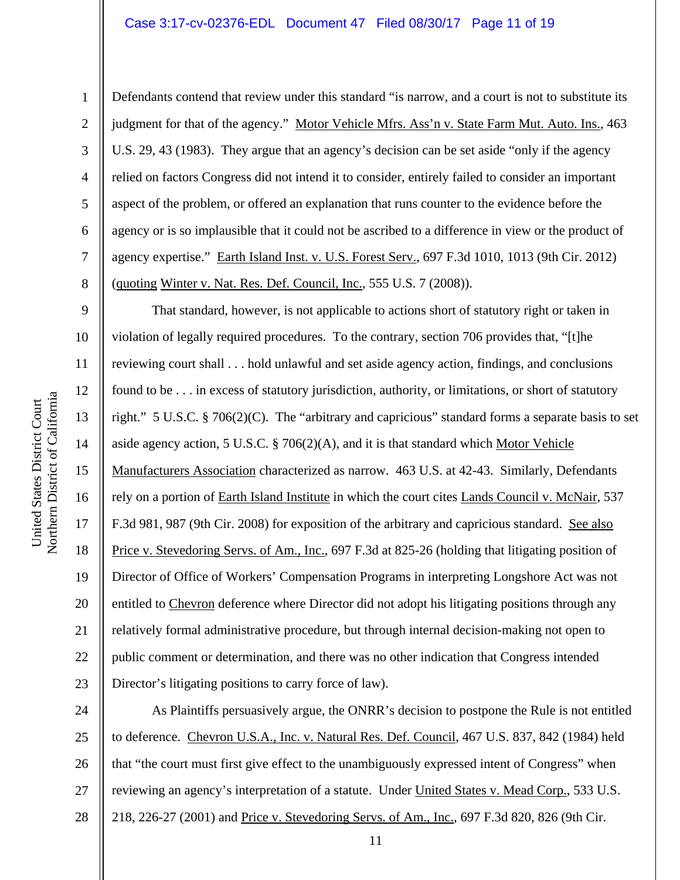#### Case 3:17-cv-02376-EDL Document 47 Filed 08/30/17 Page 11 of 19

7

8

1

Defendants contend that review under this standard "is narrow, and a court is not to substitute its judgment for that of the agency." Motor Vehicle Mfrs. Ass'n v. State Farm Mut. Auto. Ins., 463 U.S. 29, 43 (1983). They argue that an agency's decision can be set aside "only if the agency relied on factors Congress did not intend it to consider, entirely failed to consider an important aspect of the problem, or offered an explanation that runs counter to the evidence before the agency or is so implausible that it could not be ascribed to a difference in view or the product of agency expertise." Earth Island Inst. v. U.S. Forest Serv., 697 F.3d 1010, 1013 (9th Cir. 2012) (quoting Winter v. Nat. Res. Def. Council, Inc., 555 U.S. 7 (2008)).

9 10 11 12 13 14 15 16 17 18 19 20 21 22 23 That standard, however, is not applicable to actions short of statutory right or taken in violation of legally required procedures. To the contrary, section 706 provides that, "[t]he reviewing court shall . . . hold unlawful and set aside agency action, findings, and conclusions found to be . . . in excess of statutory jurisdiction, authority, or limitations, or short of statutory right." 5 U.S.C. § 706(2)(C). The "arbitrary and capricious" standard forms a separate basis to set aside agency action, 5 U.S.C. § 706(2)(A), and it is that standard which Motor Vehicle Manufacturers Association characterized as narrow. 463 U.S. at 42-43. Similarly, Defendants rely on a portion of Earth Island Institute in which the court cites Lands Council v. McNair, 537 F.3d 981, 987 (9th Cir. 2008) for exposition of the arbitrary and capricious standard. See also Price v. Stevedoring Servs. of Am., Inc., 697 F.3d at 825-26 (holding that litigating position of Director of Office of Workers' Compensation Programs in interpreting Longshore Act was not entitled to Chevron deference where Director did not adopt his litigating positions through any relatively formal administrative procedure, but through internal decision-making not open to public comment or determination, and there was no other indication that Congress intended Director's litigating positions to carry force of law).

24 25 26 27 28 As Plaintiffs persuasively argue, the ONRR's decision to postpone the Rule is not entitled to deference. Chevron U.S.A., Inc. v. Natural Res. Def. Council, 467 U.S. 837, 842 (1984) held that "the court must first give effect to the unambiguously expressed intent of Congress" when reviewing an agency's interpretation of a statute. Under United States v. Mead Corp., 533 U.S. 218, 226-27 (2001) and Price v. Stevedoring Servs. of Am., Inc., 697 F.3d 820, 826 (9th Cir.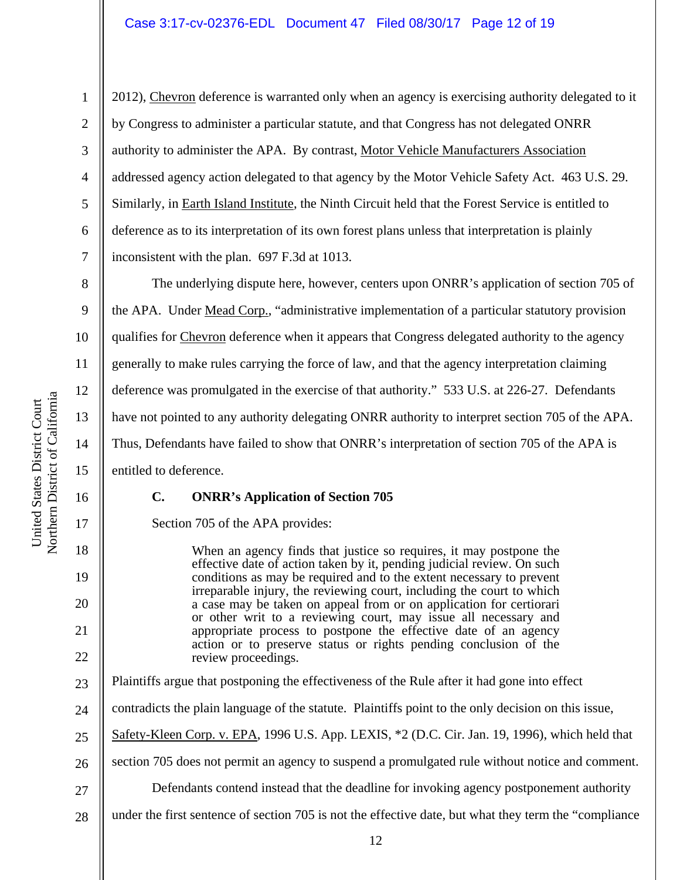2012), Chevron deference is warranted only when an agency is exercising authority delegated to it by Congress to administer a particular statute, and that Congress has not delegated ONRR authority to administer the APA. By contrast, Motor Vehicle Manufacturers Association addressed agency action delegated to that agency by the Motor Vehicle Safety Act. 463 U.S. 29. Similarly, in Earth Island Institute, the Ninth Circuit held that the Forest Service is entitled to deference as to its interpretation of its own forest plans unless that interpretation is plainly inconsistent with the plan. 697 F.3d at 1013.

 The underlying dispute here, however, centers upon ONRR's application of section 705 of the APA. Under Mead Corp., "administrative implementation of a particular statutory provision qualifies for Chevron deference when it appears that Congress delegated authority to the agency generally to make rules carrying the force of law, and that the agency interpretation claiming deference was promulgated in the exercise of that authority." 533 U.S. at 226-27. Defendants have not pointed to any authority delegating ONRR authority to interpret section 705 of the APA. Thus, Defendants have failed to show that ONRR's interpretation of section 705 of the APA is entitled to deference.

## **C. ONRR's Application of Section 705**

Section 705 of the APA provides:

When an agency finds that justice so requires, it may postpone the effective date of action taken by it, pending judicial review. On such conditions as may be required and to the extent necessary to prevent irreparable injury, the reviewing court, including the court to which a case may be taken on appeal from or on application for certiorari or other writ to a reviewing court, may issue all necessary and appropriate process to postpone the effective date of an agency action or to preserve status or rights pending conclusion of the review proceedings.

- Plaintiffs argue that postponing the effectiveness of the Rule after it had gone into effect
- contradicts the plain language of the statute. Plaintiffs point to the only decision on this issue,
- 25 Safety-Kleen Corp. v. EPA, 1996 U.S. App. LEXIS, \*2 (D.C. Cir. Jan. 19, 1996), which held that
- 26 section 705 does not permit an agency to suspend a promulgated rule without notice and comment.
- 27 Defendants contend instead that the deadline for invoking agency postponement authority
- 28 under the first sentence of section 705 is not the effective date, but what they term the "compliance

1

2

3

4

5

6

7

8

9

10

11

12

13

14

15

16

17

18

19

20

21

22

23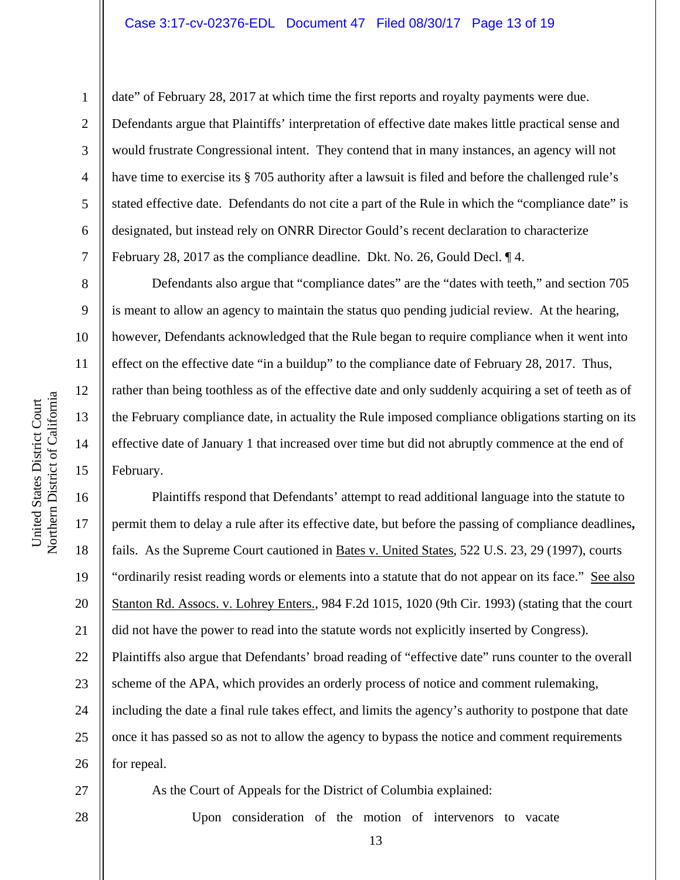date" of February 28, 2017 at which time the first reports and royalty payments were due. Defendants argue that Plaintiffs' interpretation of effective date makes little practical sense and would frustrate Congressional intent. They contend that in many instances, an agency will not have time to exercise its § 705 authority after a lawsuit is filed and before the challenged rule's stated effective date. Defendants do not cite a part of the Rule in which the "compliance date" is designated, but instead rely on ONRR Director Gould's recent declaration to characterize February 28, 2017 as the compliance deadline. Dkt. No. 26, Gould Decl. ¶ 4.

 Defendants also argue that "compliance dates" are the "dates with teeth," and section 705 is meant to allow an agency to maintain the status quo pending judicial review. At the hearing, however, Defendants acknowledged that the Rule began to require compliance when it went into effect on the effective date "in a buildup" to the compliance date of February 28, 2017. Thus, rather than being toothless as of the effective date and only suddenly acquiring a set of teeth as of the February compliance date, in actuality the Rule imposed compliance obligations starting on its effective date of January 1 that increased over time but did not abruptly commence at the end of February.

16 17 18 19 20 21 22 23 24 25 26 Plaintiffs respond that Defendants' attempt to read additional language into the statute to permit them to delay a rule after its effective date, but before the passing of compliance deadlines**,** fails. As the Supreme Court cautioned in Bates v. United States, 522 U.S. 23, 29 (1997), courts "ordinarily resist reading words or elements into a statute that do not appear on its face." See also Stanton Rd. Assocs. v. Lohrey Enters., 984 F.2d 1015, 1020 (9th Cir. 1993) (stating that the court did not have the power to read into the statute words not explicitly inserted by Congress). Plaintiffs also argue that Defendants' broad reading of "effective date" runs counter to the overall scheme of the APA, which provides an orderly process of notice and comment rulemaking, including the date a final rule takes effect, and limits the agency's authority to postpone that date once it has passed so as not to allow the agency to bypass the notice and comment requirements for repeal.

27

1

2

3

4

5

6

7

8

9

10

11

12

a

13

14

15

United States District Court Northern District of Californi

United States District Court

Upon consideration of the motion of intervenors to vacate

As the Court of Appeals for the District of Columbia explained:

28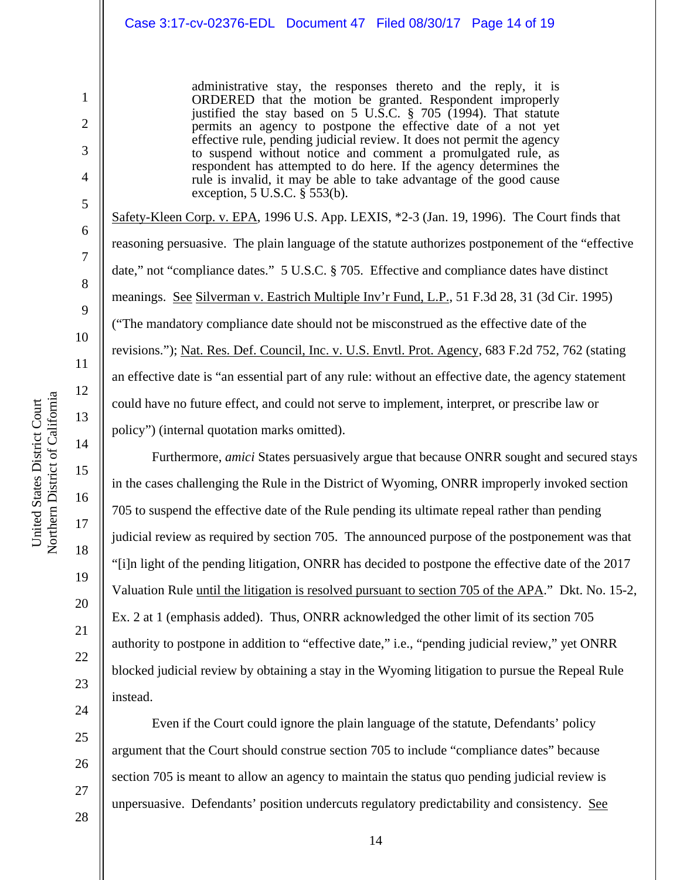administrative stay, the responses thereto and the reply, it is ORDERED that the motion be granted. Respondent improperly justified the stay based on 5 U.S.C. § 705 (1994). That statute permits an agency to postpone the effective date of a not yet effective rule, pending judicial review. It does not permit the agency to suspend without notice and comment a promulgated rule, as respondent has attempted to do here. If the agency determines the rule is invalid, it may be able to take advantage of the good cause exception, 5 U.S.C. § 553(b).

Safety-Kleen Corp. v. EPA, 1996 U.S. App. LEXIS, \*2-3 (Jan. 19, 1996). The Court finds that reasoning persuasive. The plain language of the statute authorizes postponement of the "effective date," not "compliance dates." 5 U.S.C. § 705. Effective and compliance dates have distinct meanings. See Silverman v. Eastrich Multiple Inv'r Fund, L.P., 51 F.3d 28, 31 (3d Cir. 1995) ("The mandatory compliance date should not be misconstrued as the effective date of the revisions."); Nat. Res. Def. Council, Inc. v. U.S. Envtl. Prot. Agency, 683 F.2d 752, 762 (stating an effective date is "an essential part of any rule: without an effective date, the agency statement could have no future effect, and could not serve to implement, interpret, or prescribe law or policy") (internal quotation marks omitted).

 Furthermore, *amici* States persuasively argue that because ONRR sought and secured stays in the cases challenging the Rule in the District of Wyoming, ONRR improperly invoked section 705 to suspend the effective date of the Rule pending its ultimate repeal rather than pending judicial review as required by section 705. The announced purpose of the postponement was that "[i]n light of the pending litigation, ONRR has decided to postpone the effective date of the 2017 Valuation Rule until the litigation is resolved pursuant to section 705 of the APA." Dkt. No. 15-2, Ex. 2 at 1 (emphasis added). Thus, ONRR acknowledged the other limit of its section 705 authority to postpone in addition to "effective date," i.e., "pending judicial review," yet ONRR blocked judicial review by obtaining a stay in the Wyoming litigation to pursue the Repeal Rule instead.

 Even if the Court could ignore the plain language of the statute, Defendants' policy argument that the Court should construe section 705 to include "compliance dates" because section 705 is meant to allow an agency to maintain the status quo pending judicial review is unpersuasive. Defendants' position undercuts regulatory predictability and consistency. See

1

2

3

4

5

6

7

8

9

10

11

12

13

14

15

16

17

18

26

27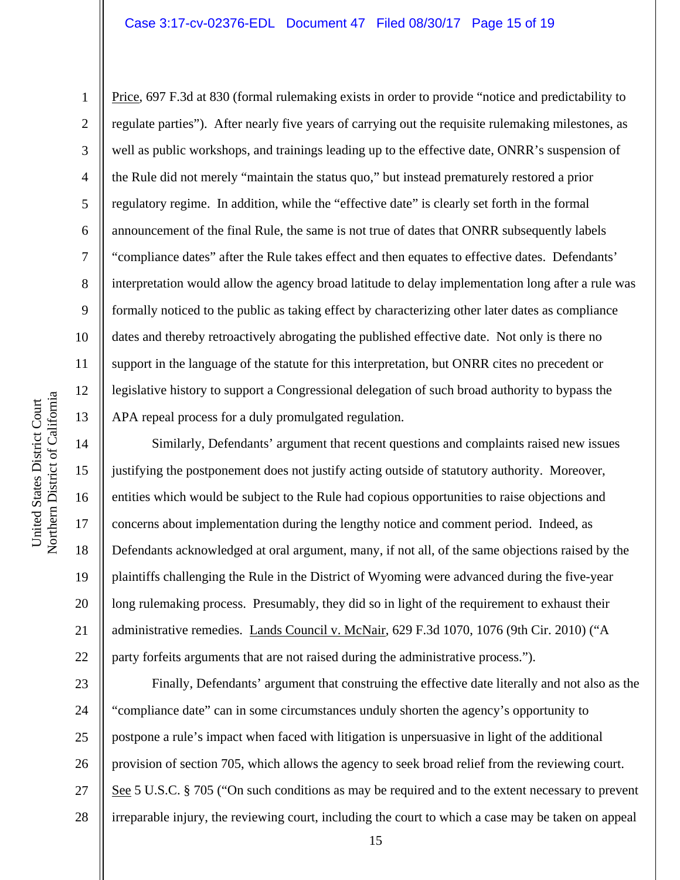Price, 697 F.3d at 830 (formal rulemaking exists in order to provide "notice and predictability to regulate parties"). After nearly five years of carrying out the requisite rulemaking milestones, as well as public workshops, and trainings leading up to the effective date, ONRR's suspension of the Rule did not merely "maintain the status quo," but instead prematurely restored a prior regulatory regime. In addition, while the "effective date" is clearly set forth in the formal announcement of the final Rule, the same is not true of dates that ONRR subsequently labels "compliance dates" after the Rule takes effect and then equates to effective dates. Defendants' interpretation would allow the agency broad latitude to delay implementation long after a rule was formally noticed to the public as taking effect by characterizing other later dates as compliance dates and thereby retroactively abrogating the published effective date. Not only is there no support in the language of the statute for this interpretation, but ONRR cites no precedent or legislative history to support a Congressional delegation of such broad authority to bypass the APA repeal process for a duly promulgated regulation.

 Similarly, Defendants' argument that recent questions and complaints raised new issues justifying the postponement does not justify acting outside of statutory authority. Moreover, entities which would be subject to the Rule had copious opportunities to raise objections and concerns about implementation during the lengthy notice and comment period. Indeed, as Defendants acknowledged at oral argument, many, if not all, of the same objections raised by the plaintiffs challenging the Rule in the District of Wyoming were advanced during the five-year long rulemaking process. Presumably, they did so in light of the requirement to exhaust their administrative remedies. Lands Council v. McNair, 629 F.3d 1070, 1076 (9th Cir. 2010) ("A party forfeits arguments that are not raised during the administrative process.").

23 24 25 26 27 28 Finally, Defendants' argument that construing the effective date literally and not also as the "compliance date" can in some circumstances unduly shorten the agency's opportunity to postpone a rule's impact when faced with litigation is unpersuasive in light of the additional provision of section 705, which allows the agency to seek broad relief from the reviewing court. See 5 U.S.C. § 705 ("On such conditions as may be required and to the extent necessary to prevent irreparable injury, the reviewing court, including the court to which a case may be taken on appeal

1

2

3

4

5

6

7

8

9

10

11

12

13

14

15

16

17

18

19

20

21

22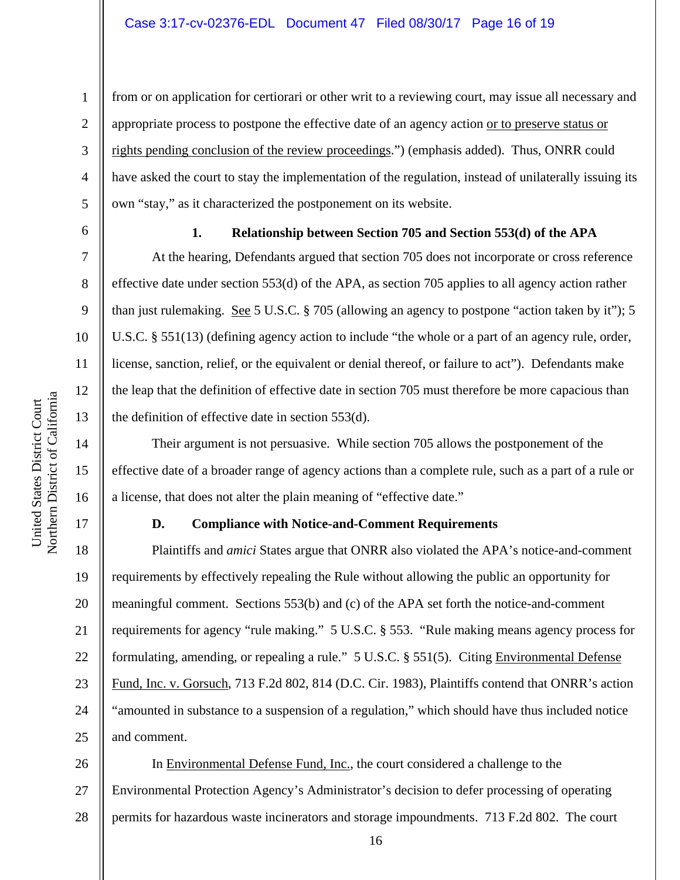7

8

9

10

11

12

13

14

15

16

17

1

**1. Relationship between Section 705 and Section 553(d) of the APA** 

from or on application for certiorari or other writ to a reviewing court, may issue all necessary and

have asked the court to stay the implementation of the regulation, instead of unilaterally issuing its

appropriate process to postpone the effective date of an agency action or to preserve status or

rights pending conclusion of the review proceedings.") (emphasis added). Thus, ONRR could

own "stay," as it characterized the postponement on its website.

 At the hearing, Defendants argued that section 705 does not incorporate or cross reference effective date under section 553(d) of the APA, as section 705 applies to all agency action rather than just rulemaking. See 5 U.S.C. § 705 (allowing an agency to postpone "action taken by it"); 5 U.S.C. § 551(13) (defining agency action to include "the whole or a part of an agency rule, order, license, sanction, relief, or the equivalent or denial thereof, or failure to act"). Defendants make the leap that the definition of effective date in section 705 must therefore be more capacious than the definition of effective date in section 553(d).

 Their argument is not persuasive. While section 705 allows the postponement of the effective date of a broader range of agency actions than a complete rule, such as a part of a rule or a license, that does not alter the plain meaning of "effective date."

#### **D. Compliance with Notice-and-Comment Requirements**

18 19 20 21 22 23 24 25 Plaintiffs and *amici* States argue that ONRR also violated the APA's notice-and-comment requirements by effectively repealing the Rule without allowing the public an opportunity for meaningful comment. Sections 553(b) and (c) of the APA set forth the notice-and-comment requirements for agency "rule making." 5 U.S.C. § 553. "Rule making means agency process for formulating, amending, or repealing a rule." 5 U.S.C. § 551(5). Citing Environmental Defense Fund, Inc. v. Gorsuch, 713 F.2d 802, 814 (D.C. Cir. 1983), Plaintiffs contend that ONRR's action "amounted in substance to a suspension of a regulation," which should have thus included notice and comment.

26 27 28 In Environmental Defense Fund, Inc., the court considered a challenge to the Environmental Protection Agency's Administrator's decision to defer processing of operating permits for hazardous waste incinerators and storage impoundments. 713 F.2d 802. The court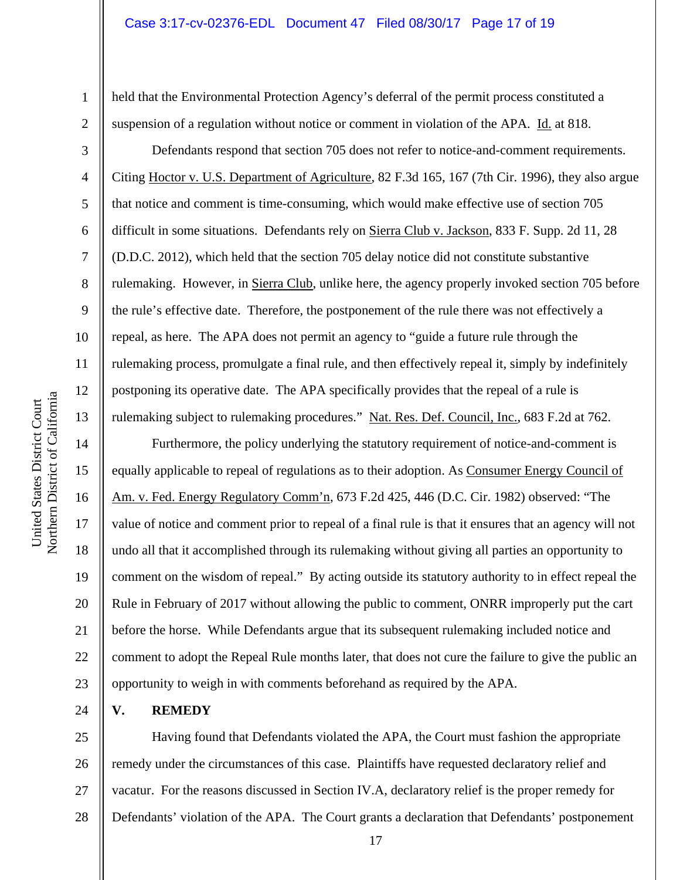held that the Environmental Protection Agency's deferral of the permit process constituted a suspension of a regulation without notice or comment in violation of the APA. Id. at 818.

 Defendants respond that section 705 does not refer to notice-and-comment requirements. Citing Hoctor v. U.S. Department of Agriculture, 82 F.3d 165, 167 (7th Cir. 1996), they also argue that notice and comment is time-consuming, which would make effective use of section 705 difficult in some situations. Defendants rely on Sierra Club v. Jackson, 833 F. Supp. 2d 11, 28 (D.D.C. 2012), which held that the section 705 delay notice did not constitute substantive rulemaking. However, in Sierra Club, unlike here, the agency properly invoked section 705 before the rule's effective date. Therefore, the postponement of the rule there was not effectively a repeal, as here. The APA does not permit an agency to "guide a future rule through the rulemaking process, promulgate a final rule, and then effectively repeal it, simply by indefinitely postponing its operative date. The APA specifically provides that the repeal of a rule is rulemaking subject to rulemaking procedures." Nat. Res. Def. Council, Inc., 683 F.2d at 762.

 Furthermore, the policy underlying the statutory requirement of notice-and-comment is equally applicable to repeal of regulations as to their adoption. As Consumer Energy Council of Am. v. Fed. Energy Regulatory Comm'n, 673 F.2d 425, 446 (D.C. Cir. 1982) observed: "The value of notice and comment prior to repeal of a final rule is that it ensures that an agency will not undo all that it accomplished through its rulemaking without giving all parties an opportunity to comment on the wisdom of repeal." By acting outside its statutory authority to in effect repeal the Rule in February of 2017 without allowing the public to comment, ONRR improperly put the cart before the horse. While Defendants argue that its subsequent rulemaking included notice and comment to adopt the Repeal Rule months later, that does not cure the failure to give the public an opportunity to weigh in with comments beforehand as required by the APA.

**V. REMEDY** 

25 26 27 28 Having found that Defendants violated the APA, the Court must fashion the appropriate remedy under the circumstances of this case. Plaintiffs have requested declaratory relief and vacatur. For the reasons discussed in Section IV.A, declaratory relief is the proper remedy for Defendants' violation of the APA. The Court grants a declaration that Defendants' postponement

1

2

3

4

5

6

7

8

9

10

11

12

13

14

15

16

17

18

19

20

21

22

23

24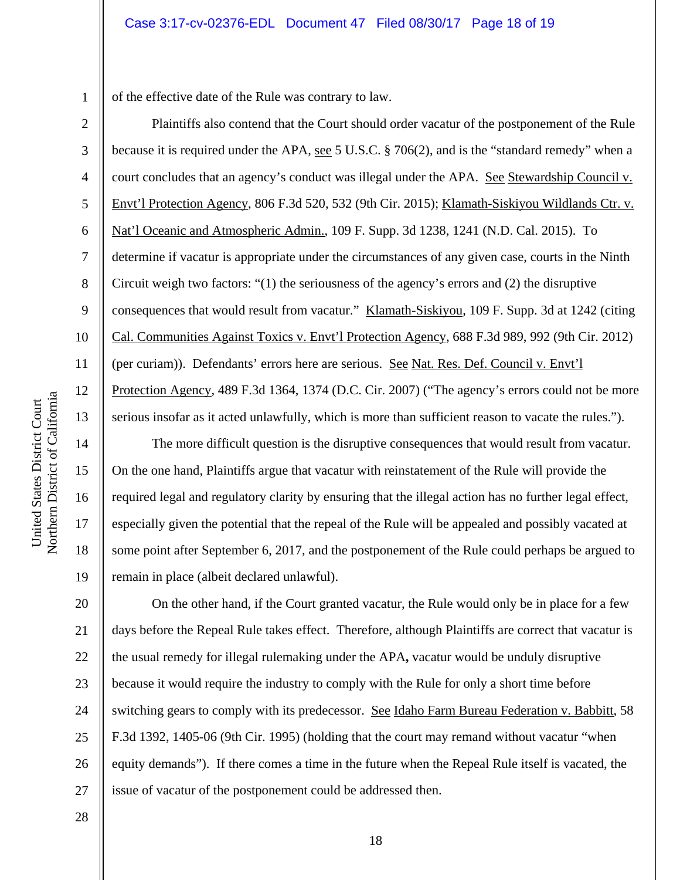1 of the effective date of the Rule was contrary to law.

Plaintiffs also contend that the Court should order vacatur of the postponement of the Rule because it is required under the APA, see 5 U.S.C. § 706(2), and is the "standard remedy" when a court concludes that an agency's conduct was illegal under the APA. See Stewardship Council v. Envt'l Protection Agency, 806 F.3d 520, 532 (9th Cir. 2015); Klamath-Siskiyou Wildlands Ctr. v. Nat'l Oceanic and Atmospheric Admin., 109 F. Supp. 3d 1238, 1241 (N.D. Cal. 2015). To determine if vacatur is appropriate under the circumstances of any given case, courts in the Ninth Circuit weigh two factors: "(1) the seriousness of the agency's errors and (2) the disruptive consequences that would result from vacatur." Klamath-Siskiyou, 109 F. Supp. 3d at 1242 (citing Cal. Communities Against Toxics v. Envt'l Protection Agency, 688 F.3d 989, 992 (9th Cir. 2012) (per curiam)). Defendants' errors here are serious. See Nat. Res. Def. Council v. Envt'l Protection Agency, 489 F.3d 1364, 1374 (D.C. Cir. 2007) ("The agency's errors could not be more serious insofar as it acted unlawfully, which is more than sufficient reason to vacate the rules.").

The more difficult question is the disruptive consequences that would result from vacatur. On the one hand, Plaintiffs argue that vacatur with reinstatement of the Rule will provide the required legal and regulatory clarity by ensuring that the illegal action has no further legal effect, especially given the potential that the repeal of the Rule will be appealed and possibly vacated at some point after September 6, 2017, and the postponement of the Rule could perhaps be argued to remain in place (albeit declared unlawful).

20 21 22 23 24 25 26 27 On the other hand, if the Court granted vacatur, the Rule would only be in place for a few days before the Repeal Rule takes effect. Therefore, although Plaintiffs are correct that vacatur is the usual remedy for illegal rulemaking under the APA**,** vacatur would be unduly disruptive because it would require the industry to comply with the Rule for only a short time before switching gears to comply with its predecessor. See Idaho Farm Bureau Federation v. Babbitt, 58 F.3d 1392, 1405-06 (9th Cir. 1995) (holding that the court may remand without vacatur "when equity demands"). If there comes a time in the future when the Repeal Rule itself is vacated, the issue of vacatur of the postponement could be addressed then.

2

3

4

5

6

7

8

9

10

11

12

13

14

15

16

17

18

19